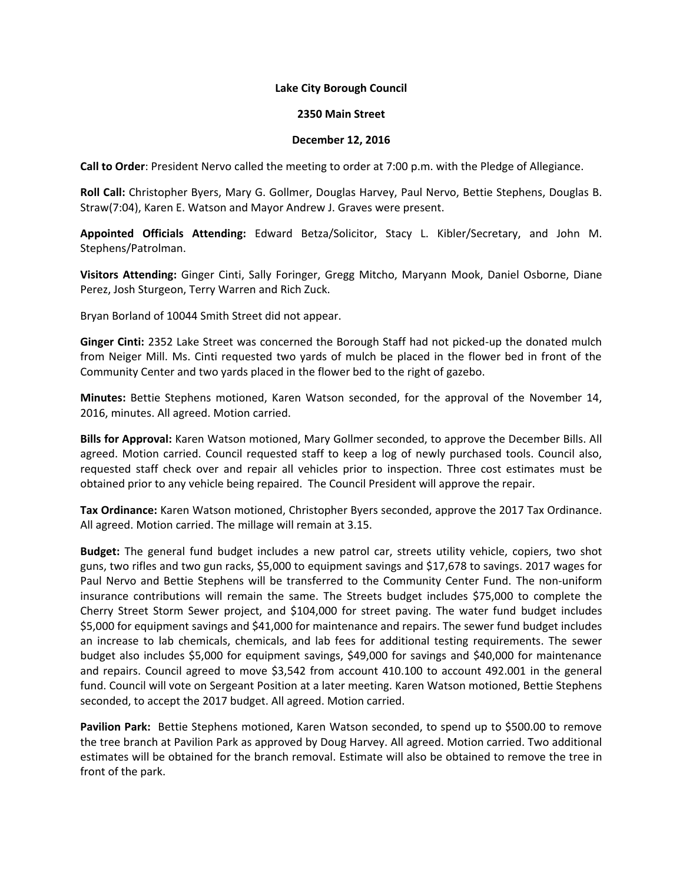## **Lake City Borough Council**

## **2350 Main Street**

## **December 12, 2016**

**Call to Order**: President Nervo called the meeting to order at 7:00 p.m. with the Pledge of Allegiance.

**Roll Call:** Christopher Byers, Mary G. Gollmer, Douglas Harvey, Paul Nervo, Bettie Stephens, Douglas B. Straw(7:04), Karen E. Watson and Mayor Andrew J. Graves were present.

**Appointed Officials Attending:** Edward Betza/Solicitor, Stacy L. Kibler/Secretary, and John M. Stephens/Patrolman.

**Visitors Attending:** Ginger Cinti, Sally Foringer, Gregg Mitcho, Maryann Mook, Daniel Osborne, Diane Perez, Josh Sturgeon, Terry Warren and Rich Zuck.

Bryan Borland of 10044 Smith Street did not appear.

**Ginger Cinti:** 2352 Lake Street was concerned the Borough Staff had not picked-up the donated mulch from Neiger Mill. Ms. Cinti requested two yards of mulch be placed in the flower bed in front of the Community Center and two yards placed in the flower bed to the right of gazebo.

**Minutes:** Bettie Stephens motioned, Karen Watson seconded, for the approval of the November 14, 2016, minutes. All agreed. Motion carried.

**Bills for Approval:** Karen Watson motioned, Mary Gollmer seconded, to approve the December Bills. All agreed. Motion carried. Council requested staff to keep a log of newly purchased tools. Council also, requested staff check over and repair all vehicles prior to inspection. Three cost estimates must be obtained prior to any vehicle being repaired. The Council President will approve the repair.

**Tax Ordinance:** Karen Watson motioned, Christopher Byers seconded, approve the 2017 Tax Ordinance. All agreed. Motion carried. The millage will remain at 3.15.

**Budget:** The general fund budget includes a new patrol car, streets utility vehicle, copiers, two shot guns, two rifles and two gun racks, \$5,000 to equipment savings and \$17,678 to savings. 2017 wages for Paul Nervo and Bettie Stephens will be transferred to the Community Center Fund. The non-uniform insurance contributions will remain the same. The Streets budget includes \$75,000 to complete the Cherry Street Storm Sewer project, and \$104,000 for street paving. The water fund budget includes \$5,000 for equipment savings and \$41,000 for maintenance and repairs. The sewer fund budget includes an increase to lab chemicals, chemicals, and lab fees for additional testing requirements. The sewer budget also includes \$5,000 for equipment savings, \$49,000 for savings and \$40,000 for maintenance and repairs. Council agreed to move \$3,542 from account 410.100 to account 492.001 in the general fund. Council will vote on Sergeant Position at a later meeting. Karen Watson motioned, Bettie Stephens seconded, to accept the 2017 budget. All agreed. Motion carried.

**Pavilion Park:** Bettie Stephens motioned, Karen Watson seconded, to spend up to \$500.00 to remove the tree branch at Pavilion Park as approved by Doug Harvey. All agreed. Motion carried. Two additional estimates will be obtained for the branch removal. Estimate will also be obtained to remove the tree in front of the park.